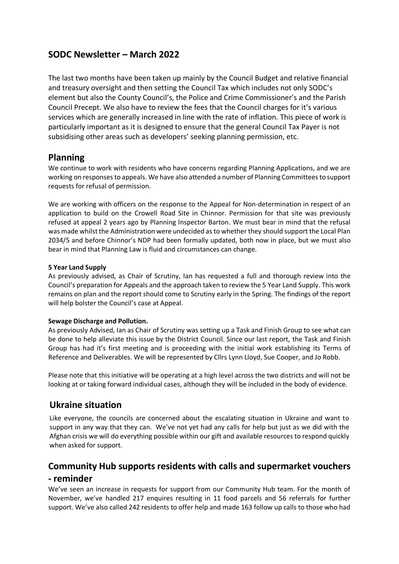# **SODC Newsletter – March 2022**

The last two months have been taken up mainly by the Council Budget and relative financial and treasury oversight and then setting the Council Tax which includes not only SODC's element but also the County Council's, the Police and Crime Commissioner's and the Parish Council Precept. We also have to review the fees that the Council charges for it's various services which are generally increased in line with the rate of inflation. This piece of work is particularly important as it is designed to ensure that the general Council Tax Payer is not subsidising other areas such as developers' seeking planning permission, etc.

# **Planning**

We continue to work with residents who have concerns regarding Planning Applications, and we are working on responses to appeals. We have also attended a number of Planning Committees to support requests for refusal of permission.

We are working with officers on the response to the Appeal for Non-determination in respect of an application to build on the Crowell Road Site in Chinnor. Permission for that site was previously refused at appeal 2 years ago by Planning Inspector Barton. We must bear in mind that the refusal was made whilst the Administration were undecided as to whether they should support the Local Plan 2034/5 and before Chinnor's NDP had been formally updated, both now in place, but we must also bear in mind that Planning Law is fluid and circumstances can change.

### **5 Year Land Supply**

As previously advised, as Chair of Scrutiny, Ian has requested a full and thorough review into the Council's preparation for Appeals and the approach taken to review the 5 Year Land Supply. This work remains on plan and the report should come to Scrutiny early in the Spring. The findings of the report will help bolster the Council's case at Appeal.

#### **Sewage Discharge and Pollution.**

As previously Advised, Ian as Chair of Scrutiny was setting up a Task and Finish Group to see what can be done to help alleviate this issue by the District Council. Since our last report, the Task and Finish Group has had it's first meeting and is proceeding with the initial work establishing its Terms of Reference and Deliverables. We will be represented by Cllrs Lynn Lloyd, Sue Cooper, and Jo Robb.

Please note that this initiative will be operating at a high level across the two districts and will not be looking at or taking forward individual cases, although they will be included in the body of evidence.

## **Ukraine situation**

Like everyone, the councils are concerned about the escalating situation in Ukraine and want to support in any way that they can. We've not yet had any calls for help but just as we did with the Afghan crisis we will do everything possible within our gift and available resources to respond quickly when asked for support.

# **Community Hub supports residents with calls and supermarket vouchers - reminder**

We've seen an increase in requests for support from our Community Hub team. For the month of November, we've handled 217 enquires resulting in 11 food parcels and 56 referrals for further support. We've also called 242 residents to offer help and made 163 follow up calls to those who had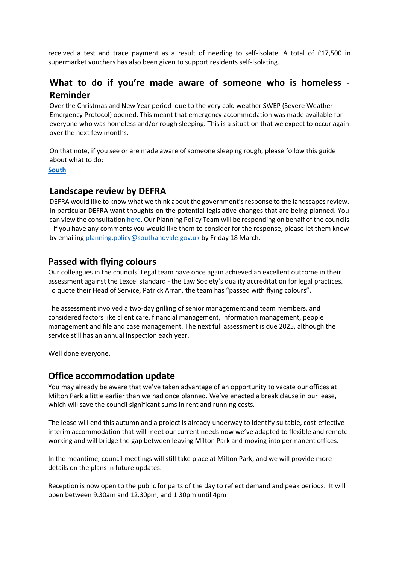received a test and trace payment as a result of needing to self-isolate. A total of £17,500 in supermarket vouchers has also been given to support residents self-isolating.

# **What to do if you're made aware of someone who is homeless - Reminder**

Over the Christmas and New Year period due to the very cold weather SWEP (Severe Weather Emergency Protocol) opened. This meant that emergency accommodation was made available for everyone who was homeless and/or rough sleeping. This is a situation that we expect to occur again over the next few months.

On that note, if you see or are made aware of someone sleeping rough, please follow this guide about what to do:

**[South](https://ebtk.co.uk/click/U0JrbEZhcExKdkJ6WjJ1WFVTQWtoc0N6M1lrejhRT1doWXRHSGJBTzZOMzkyNTk5QXZhNlViVVNJd2Y4elpxeHg1dVNiZUpqa2N6UW5IdDJGRXZoQTFGdWNzOXBpK0dMenA4bG83dDlLTE1rT1dRT3NMNzU5R09zbHNnYnM5WEhtcDlO/UlJ3ckZnPT0)**

## **Landscape review by DEFRA**

DEFRA would like to know what we think about the government's response to the landscapes review. In particular DEFRA want thoughts on the potential legislative changes that are being planned. You can view the consultatio[n here.](https://ebtk.co.uk/click/U0JrbEZhcExJdkJ6WjJ1WFVTQWt6OVd6aFowcnNRT01uSXNBRnEwSDlKSzAwNFlsV2VqK0Rid1NJeHFqeDgrN3lZZVNiZWxyazh5TzFXRnhFbGo4QlVJNlBzZHprK2VRek4wb29yb2pNN2d3Wm1vU3B2YXQ3M21zaXM4VCs5WERoNGdSblNXMmJZWnF3UG5MN2VqbzFBPT0/UlJ3ckZnPT0) Our Planning Policy Team will be responding on behalf of the councils - if you have any comments you would like them to consider for the response, please let them know by emailin[g planning.policy@southandvale.gov.uk](mailto:planning.policy@southandvale.gov.uk) by Friday 18 March.

## **Passed with flying colours**

Our colleagues in the councils' Legal team have once again achieved an excellent outcome in their assessment against the Lexcel standard - the Law Society's quality accreditation for legal practices. To quote their Head of Service, Patrick Arran, the team has "passed with flying colours".

The assessment involved a two-day grilling of senior management and team members, and considered factors like client care, financial management, information management, people management and file and case management. The next full assessment is due 2025, although the service still has an annual inspection each year.

Well done everyone.

### **Office accommodation update**

You may already be aware that we've taken advantage of an opportunity to vacate our offices at Milton Park a little earlier than we had once planned. We've enacted a break clause in our lease, which will save the council significant sums in rent and running costs.

The lease will end this autumn and a project is already underway to identify suitable, cost-effective interim accommodation that will meet our current needs now we've adapted to flexible and remote working and will bridge the gap between leaving Milton Park and moving into permanent offices.

In the meantime, council meetings will still take place at Milton Park, and we will provide more details on the plans in future updates.

Reception is now open to the public for parts of the day to reflect demand and peak periods. It will open between 9.30am and 12.30pm, and 1.30pm until 4pm